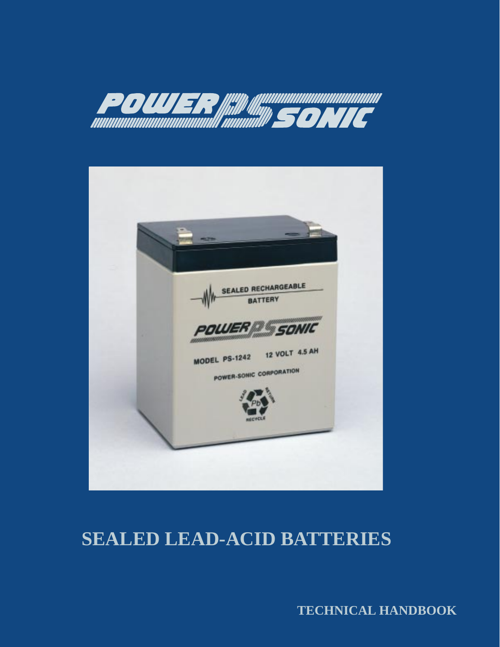



# **SEALED LEAD-ACID BATTERIES**

**TECHNICAL HANDBOOK**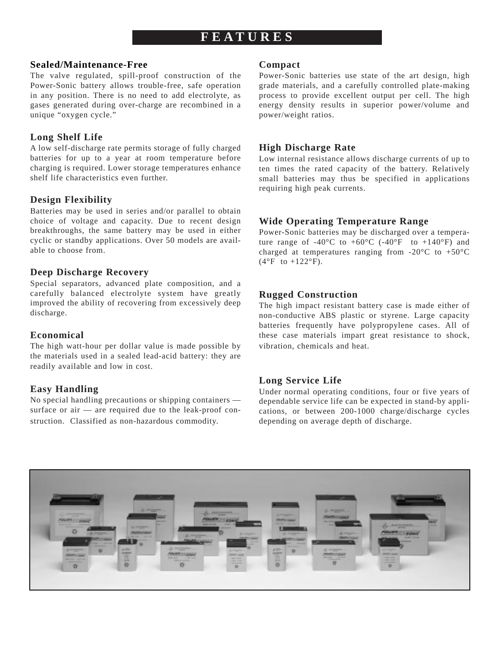# **FEA TURES**

### **Sealed/Maintenance-Free**

The valve regulated, spill-proof construction of the Power-Sonic battery allows trouble-free, safe operation in any position. There is no need to add electrolyte, as gases generated during over-charge are recombined in a unique "oxygen cycle."

# **Long Shelf Life**

A low self-discharge rate permits storage of fully charged batteries for up to a year at room temperature before charging is required. Lower storage temperatures enhance shelf life characteristics even further.

# **Design Flexibility**

Batteries may be used in series and/or parallel to obtain choice of voltage and capacity. Due to recent design breakthroughs, the same battery may be used in either cyclic or standby applications. Over 50 models are available to choose from.

# **Deep Discharge Recovery**

Special separators, advanced plate composition, and a carefully balanced electrolyte system have greatly improved the ability of recovering from excessively deep discharge.

# **Economical**

The high watt-hour per dollar value is made possible by the materials used in a sealed lead-acid battery: they are readily available and low in cost.

# **Easy Handling**

No special handling precautions or shipping containers surface or air — are required due to the leak-proof construction. Classified as non-hazardous commodity.

### **Compact**

Power-Sonic batteries use state of the art design, high grade materials, and a carefully controlled plate-making process to provide excellent output per cell. The high energy density results in superior power/volume and power/weight ratios.

# **High Discharge Rate**

Low internal resistance allows discharge currents of up to ten times the rated capacity of the battery. Relatively small batteries may thus be specified in applications requiring high peak currents.

# **Wide Operating Temperature Range**

Power-Sonic batteries may be discharged over a temperature range of -40 $^{\circ}$ C to +60 $^{\circ}$ C (-40 $^{\circ}$ F to +140 $^{\circ}$ F) and charged at temperatures ranging from -20 $^{\circ}$ C to +50 $^{\circ}$ C  $(4^{\circ}F$  to  $+122^{\circ}F)$ .

# **Rugged Construction**

The high impact resistant battery case is made either of non-conductive ABS plastic or styrene. Large capacity batteries frequently have polypropylene cases. All of these case materials impart great resistance to shock, vibration, chemicals and heat.

# **Long Service Life**

Under normal operating conditions, four or five years of dependable service life can be expected in stand-by applications, or between 200-1000 charge/discharge cycles depending on average depth of discharge.

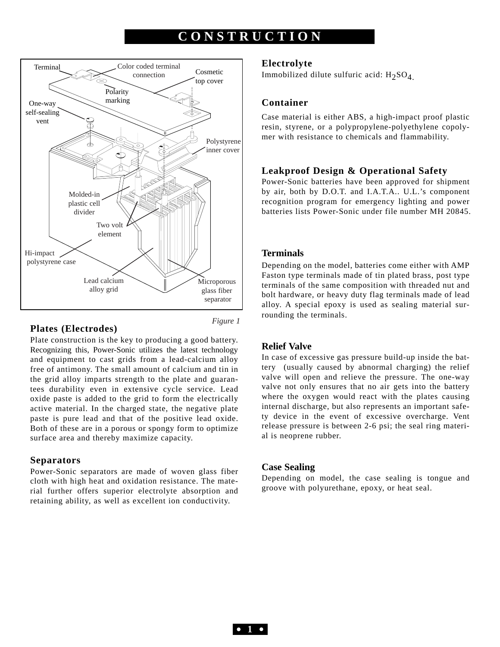# **CONSTRUCTION**



### **Plates (Electrodes)**

*Figure 1*

Plate construction is the key to producing a good battery. Recognizing this, Power-Sonic utilizes the latest technology and equipment to cast grids from a lead-calcium alloy free of antimony. The small amount of calcium and tin in the grid alloy imparts strength to the plate and guarantees durability even in extensive cycle service. Lead oxide paste is added to the grid to form the electrically active material. In the charged state, the negative plate paste is pure lead and that of the positive lead oxide. Both of these are in a porous or spongy form to optimize surface area and thereby maximize capacity.

### **Separators**

Power-Sonic separators are made of woven glass fiber cloth with high heat and oxidation resistance. The material further offers superior electrolyte absorption and retaining ability, as well as excellent ion conductivity.

#### **Electrolyte**

Immobilized dilute sulfuric acid:  $H_2SO_4$ .

### **Container**

Case material is either ABS, a high-impact proof plastic resin, styrene, or a polypropylene-polyethylene copolymer with resistance to chemicals and flammability.

### **Leakproof Design & Operational Safety**

Power-Sonic batteries have been approved for shipment by air, both by D.O.T. and I.A.T.A.. U.L.'s component recognition program for emergency lighting and power batteries lists Power-Sonic under file number MH 20845.

### **Terminals**

Depending on the model, batteries come either with AMP Faston type terminals made of tin plated brass, post type terminals of the same composition with threaded nut and bolt hardware, or heavy duty flag terminals made of lead alloy. A special epoxy is used as sealing material surrounding the terminals.

### **Relief Valve**

In case of excessive gas pressure build-up inside the battery (usually caused by abnormal charging) the relief valve will open and relieve the pressure. The one-way valve not only ensures that no air gets into the battery where the oxygen would react with the plates causing internal discharge, but also represents an important safety device in the event of excessive overcharge. Vent release pressure is between 2-6 psi; the seal ring material is neoprene rubber.

### **Case Sealing**

Depending on model, the case sealing is tongue and groove with polyurethane, epoxy, or heat seal.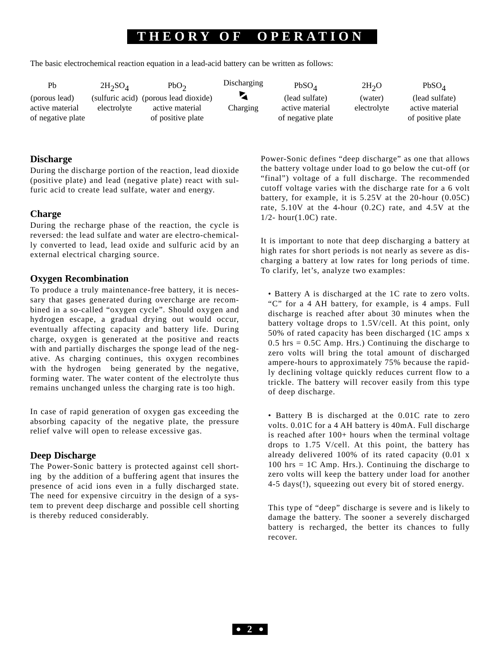# **THEOR Y O F OPERA TION**

The basic electrochemical reaction equation in a lead-acid battery can be written as follows:

| Pb                | $2H_2SO_4$  | PbO <sub>2</sub>                      | Discharging | PbSO <sub>A</sub> | 2H <sub>2</sub> O | PbSO <sub>A</sub> |
|-------------------|-------------|---------------------------------------|-------------|-------------------|-------------------|-------------------|
| (porous lead)     |             | (sulfuric acid) (porous lead dioxide) |             | (lead sulfate)    | (water)           | (lead sulfate)    |
| active material   | electrolyte | active material                       | Charging    | active material   | electrolyte       | active material   |
| of negative plate |             | of positive plate                     |             | of negative plate |                   | of positive plate |

### **Discharge**

During the discharge portion of the reaction, lead dioxide (positive plate) and lead (negative plate) react with sulfuric acid to create lead sulfate, water and energy.

### **Charge**

During the recharge phase of the reaction, the cycle is reversed: the lead sulfate and water are electro-chemically converted to lead, lead oxide and sulfuric acid by an external electrical charging source.

# **Oxygen Recombination**

To produce a truly maintenance-free battery, it is necessary that gases generated during overcharge are recombined in a so-called "oxygen cycle". Should oxygen and hydrogen escape, a gradual drying out would occur, eventually affecting capacity and battery life. During charge, oxygen is generated at the positive and reacts with and partially discharges the sponge lead of the negative. As charging continues, this oxygen recombines with the hydrogen being generated by the negative, forming water. The water content of the electrolyte thus remains unchanged unless the charging rate is too high.

In case of rapid generation of oxygen gas exceeding the absorbing capacity of the negative plate, the pressure relief valve will open to release excessive gas.

### **Deep Discharge**

The Power-Sonic battery is protected against cell shorting by the addition of a buffering agent that insures the presence of acid ions even in a fully discharged state. The need for expensive circuitry in the design of a system to prevent deep discharge and possible cell shorting is thereby reduced considerably.

Power-Sonic defines "deep discharge" as one that allows the battery voltage under load to go below the cut-off (or "final") voltage of a full discharge. The recommended cutoff voltage varies with the discharge rate for a 6 volt battery, for example, it is 5.25V at the 20-hour (0.05C) rate, 5.10V at the 4-hour (0.2C) rate, and 4.5V at the 1/2- hour(1.0C) rate.

It is important to note that deep discharging a battery at high rates for short periods is not nearly as severe as discharging a battery at low rates for long periods of time. To clarify, let's, analyze two examples:

• Battery A is discharged at the 1C rate to zero volts. "C" for a 4 AH battery, for example, is 4 amps. Full discharge is reached after about 30 minutes when the battery voltage drops to 1.5V/cell. At this point, only 50% of rated capacity has been discharged (1C amps x  $0.5$  hrs =  $0.5C$  Amp. Hrs.) Continuing the discharge to zero volts will bring the total amount of discharged ampere-hours to approximately 75% because the rapidly declining voltage quickly reduces current flow to a trickle. The battery will recover easily from this type of deep discharge.

• Battery B is discharged at the 0.01C rate to zero volts. 0.01C for a 4 AH battery is 40mA. Full discharge is reached after 100+ hours when the terminal voltage drops to 1.75 V/cell. At this point, the battery has already delivered 100% of its rated capacity (0.01 x  $100$  hrs = 1C Amp. Hrs.). Continuing the discharge to zero volts will keep the battery under load for another 4-5 days(!), squeezing out every bit of stored energy.

This type of "deep" discharge is severe and is likely to damage the battery. The sooner a severely discharged battery is recharged, the better its chances to fully recover.

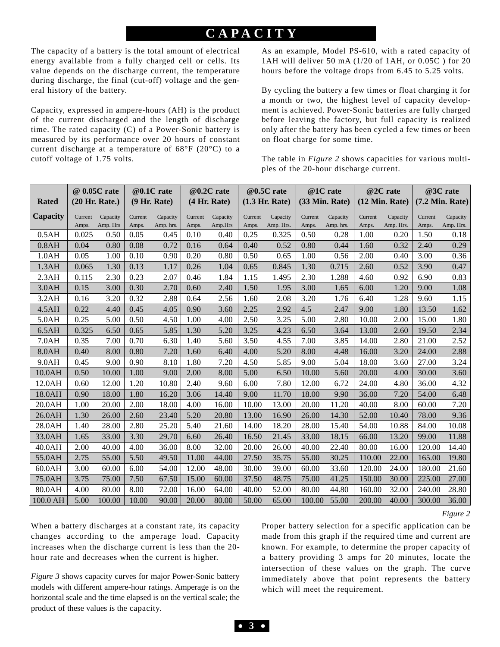# **CAP ACITY**

The capacity of a battery is the total amount of electrical energy available from a fully charged cell or cells. Its value depends on the discharge current, the temperature during discharge, the final (cut-off) voltage and the general history of the battery.

Capacity, expressed in ampere-hours (AH) is the product of the current discharged and the length of discharge time. The rated capacity (C) of a Power-Sonic battery is measured by its performance over 20 hours of constant current discharge at a temperature of 68°F (20°C) to a cutoff voltage of 1.75 volts.

As an example, Model PS-610, with a rated capacity of 1AH will deliver 50 mA (1/20 of 1AH, or 0.05C ) for 20 hours before the voltage drops from 6.45 to 5.25 volts.

By cycling the battery a few times or float charging it for a month or two, the highest level of capacity development is achieved. Power-Sonic batteries are fully charged before leaving the factory, but full capacity is realized only after the battery has been cycled a few times or been on float charge for some time.

The table in *Figure 2* shows capacities for various multiples of the 20-hour discharge current.

|              | @ 0.05C rate |                | @0.1C rate |              | @0.2C rate |              | @0.5C rate |                  | @1C rate |                | @2C rate |                | @3C rate          |           |
|--------------|--------------|----------------|------------|--------------|------------|--------------|------------|------------------|----------|----------------|----------|----------------|-------------------|-----------|
| <b>Rated</b> |              | (20 Hr. Rate.) |            | (9 Hr. Rate) |            | (4 Hr. Rate) |            | $(1.3$ Hr. Rate) |          | (33 Min. Rate) |          | (12 Min. Rate) | $(7.2$ Min. Rate) |           |
| Capacity     | Current      | Capacity       | Current    | Capacity     | Current    | Capacity     | Current    | Capacity         | Current  | Capacity       | Current  | Capacity       | Current           | Capacity  |
|              | Amps.        | Amp. Hrs       | Amps.      | Amp. hrs.    | Amps.      | Amp.Hrs      | Amps.      | Amp. Hrs.        | Amps.    | Amp. hrs.      | Amps.    | Amp. Hrs.      | Amps.             | Amp. Hrs. |
| 0.5AH        | 0.025        | 0.50           | 0.05       | 0.45         | 0.10       | 0.40         | 0.25       | 0.325            | 0.50     | 0.28           | 1.00     | 0.20           | 1.50              | 0.18      |
| 0.8AH        | 0.04         | 0.80           | 0.08       | 0.72         | 0.16       | 0.64         | 0.40       | 0.52             | 0.80     | 0.44           | 1.60     | 0.32           | 2.40              | 0.29      |
| 1.0AH        | 0.05         | 1.00           | 0.10       | 0.90         | 0.20       | 0.80         | 0.50       | 0.65             | 1.00     | 0.56           | 2.00     | 0.40           | 3.00              | 0.36      |
| 1.3AH        | 0.065        | 1.30           | 0.13       | 1.17         | 0.26       | 1.04         | 0.65       | 0.845            | 1.30     | 0.715          | 2.60     | 0.52           | 3.90              | 0.47      |
| 2.3AH        | 0.115        | 2.30           | 0.23       | 2.07         | 0.46       | 1.84         | 1.15       | 1.495            | 2.30     | 1.288          | 4.60     | 0.92           | 6.90              | 0.83      |
| 3.0AH        | 0.15         | 3.00           | 0.30       | 2.70         | 0.60       | 2.40         | 1.50       | 1.95             | 3.00     | 1.65           | 6.00     | 1.20           | 9.00              | 1.08      |
| 3.2AH        | 0.16         | 3.20           | 0.32       | 2.88         | 0.64       | 2.56         | 1.60       | 2.08             | 3.20     | 1.76           | 6.40     | 1.28           | 9.60              | 1.15      |
| 4.5AH        | 0.22         | 4.40           | 0.45       | 4.05         | 0.90       | 3.60         | 2.25       | 2.92             | 4.5      | 2.47           | 9.00     | 1.80           | 13.50             | 1.62      |
| 5.0AH        | 0.25         | 5.00           | 0.50       | 4.50         | 1.00       | 4.00         | 2.50       | 3.25             | 5.00     | 2.80           | 10.00    | 2.00           | 15.00             | 1.80      |
| 6.5AH        | 0.325        | 6.50           | 0.65       | 5.85         | 1.30       | 5.20         | 3.25       | 4.23             | 6.50     | 3.64           | 13.00    | 2.60           | 19.50             | 2.34      |
| 7.0AH        | 0.35         | 7.00           | 0.70       | 6.30         | 1.40       | 5.60         | 3.50       | 4.55             | 7.00     | 3.85           | 14.00    | 2.80           | 21.00             | 2.52      |
| 8.0AH        | 0.40         | 8.00           | 0.80       | 7.20         | 1.60       | 6.40         | 4.00       | 5.20             | 8.00     | 4.48           | 16.00    | 3.20           | 24.00             | 2.88      |
| 9.0AH        | 0.45         | 9.00           | 0.90       | 8.10         | 1.80       | 7.20         | 4.50       | 5.85             | 9.00     | 5.04           | 18.00    | 3.60           | 27.00             | 3.24      |
| 10.0AH       | 0.50         | 10.00          | 1.00       | 9.00         | 2.00       | 8.00         | 5.00       | 6.50             | 10.00    | 5.60           | 20.00    | 4.00           | 30.00             | 3.60      |
| 12.0AH       | 0.60         | 12.00          | 1.20       | 10.80        | 2.40       | 9.60         | 6.00       | 7.80             | 12.00    | 6.72           | 24.00    | 4.80           | 36.00             | 4.32      |
| 18.0AH       | 0.90         | 18.00          | 1.80       | 16.20        | 3.06       | 14.40        | 9.00       | 11.70            | 18.00    | 9.90           | 36.00    | 7.20           | 54.00             | 6.48      |
| 20.0AH       | 1.00         | 20.00          | 2.00       | 18.00        | 4.00       | 16.00        | 10.00      | 13.00            | 20.00    | 11.20          | 40.00    | 8.00           | 60.00             | 7.20      |
| 26.0AH       | 1.30         | 26.00          | 2.60       | 23.40        | 5.20       | 20.80        | 13.00      | 16.90            | 26.00    | 14.30          | 52.00    | 10.40          | 78.00             | 9.36      |
| 28.0AH       | 1.40         | 28.00          | 2.80       | 25.20        | 5.40       | 21.60        | 14.00      | 18.20            | 28.00    | 15.40          | 54.00    | 10.88          | 84.00             | 10.08     |
| 33.0AH       | 1.65         | 33.00          | 3.30       | 29.70        | 6.60       | 26.40        | 16.50      | 21.45            | 33.00    | 18.15          | 66.00    | 13.20          | 99.00             | 11.88     |
| 40.0AH       | 2.00         | 40.00          | 4.00       | 36.00        | 8.00       | 32.00        | 20.00      | 26.00            | 40.00    | 22.40          | 80.00    | 16.00          | 120.00            | 14.40     |
| 55.0AH       | 2.75         | 55.00          | 5.50       | 49.50        | 11.00      | 44.00        | 27.50      | 35.75            | 55.00    | 30.25          | 110.00   | 22.00          | 165.00            | 19.80     |
| 60.0AH       | 3.00         | 60.00          | 6.00       | 54.00        | 12.00      | 48.00        | 30.00      | 39.00            | 60.00    | 33.60          | 120.00   | 24.00          | 180.00            | 21.60     |
| 75.0AH       | 3.75         | 75.00          | 7.50       | 67.50        | 15.00      | 60.00        | 37.50      | 48.75            | 75.00    | 41.25          | 150.00   | 30.00          | 225.00            | 27.00     |
| 80.0AH       | 4.00         | 80.00          | 8.00       | 72.00        | 16.00      | 64.00        | 40.00      | 52.00            | 80.00    | 44.80          | 160.00   | 32.00          | 240.00            | 28.80     |
| 100.0 AH     | 5.00         | 100.00         | 10.00      | 90.00        | 20.00      | 80.00        | 50.00      | 65.00            | 100.00   | 55.00          | 200.00   | 40.00          | 300.00            | 36.00     |

*Figure 2*

When a battery discharges at a constant rate, its capacity changes according to the amperage load. Capacity increases when the discharge current is less than the 20 hour rate and decreases when the current is higher.

*Figure 3* shows capacity curves for major Power-Sonic battery models with different ampere-hour ratings. Amperage is on the horizontal scale and the time elapsed is on the vertical scale; the product of these values is the capacity.

Proper battery selection for a specific application can be made from this graph if the required time and current are known. For example, to determine the proper capacity of a battery providing 3 amps for 20 minutes, locate the intersection of these values on the graph. The curve immediately above that point represents the battery which will meet the requirement.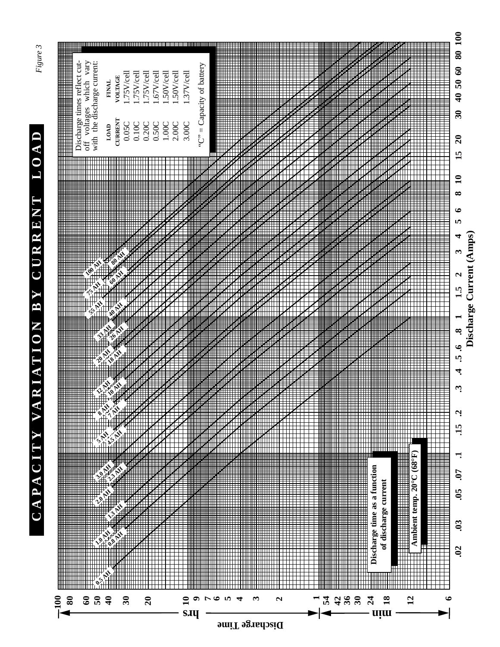

**100**





*Figure 3*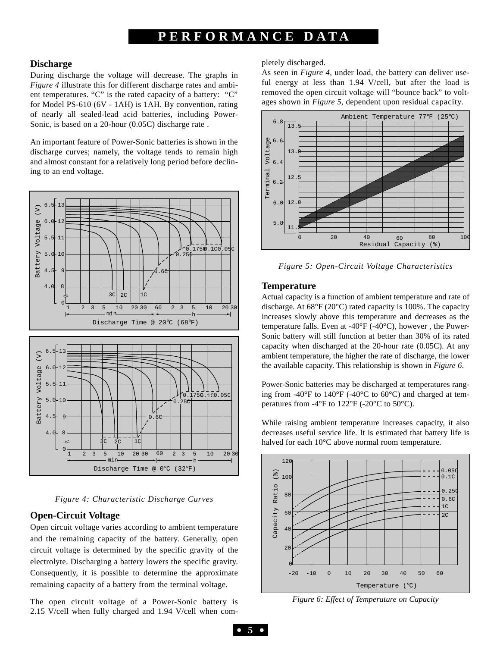# **PERFORMANCE DA T A**

### **Discharge**

During discharge the voltage will decrease. The graphs in *Figure 4* illustrate this for different discharge rates and ambient temperatures. "C" is the rated capacity of a battery: "C" for Model PS-610 (6V - 1AH) is 1AH. By convention, rating of nearly all sealed-lead acid batteries, including Power-Sonic, is based on a 20-hour (0.05C) discharge rate .

An important feature of Power-Sonic batteries is shown in the discharge curves; namely, the voltage tends to remain high and almost constant for a relatively long period before declining to an end voltage.



*Figure 4: Characteristic Discharge Curves*

### **Open-Circuit Voltage**

Open circuit voltage varies according to ambient temperature and the remaining capacity of the battery. Generally, open circuit voltage is determined by the specific gravity of the electrolyte. Discharging a battery lowers the specific gravity. Consequently, it is possible to determine the approximate remaining capacity of a battery from the terminal voltage.

The open circuit voltage of a Power-Sonic battery is 2.15 V/cell when fully charged and 1.94 V/cell when completely discharged.

As seen in *Figure 4,* under load, the battery can deliver useful energy at less than 1.94 V/cell, but after the load is removed the open circuit voltage will "bounce back" to voltages shown in *Figure 5*, dependent upon residual capacity.



*Figure 5: Open-Circuit Voltage Characteristics*

### **Temperature**

Actual capacity is a function of ambient temperature and rate of discharge. At 68°F (20°C) rated capacity is 100%. The capacity increases slowly above this temperature and decreases as the temperature falls. Even at -40°F (-40°C), however , the Power-Sonic battery will still function at better than 30% of its rated capacity when discharged at the 20-hour rate (0.05C). At any ambient temperature, the higher the rate of discharge, the lower the available capacity. This relationship is shown in *Figure 6*.

Power-Sonic batteries may be discharged at temperatures ranging from -40°F to 140°F (-40°C to 60°C) and charged at temperatures from -4°F to 122°F (-20°C to 50°C).

While raising ambient temperature increases capacity, it also decreases useful service life. It is estimated that battery life is halved for each 10°C above normal room temperature.



*Figure 6: Effect of Temperature on Capacity*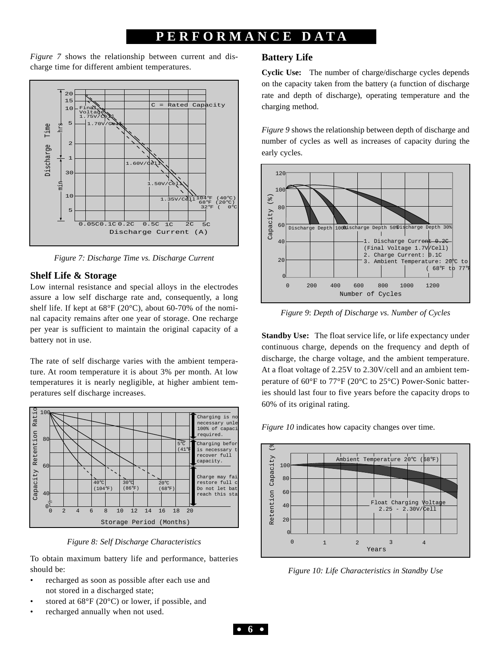# **PERFORMANCE DA T A**

*Figure 7* shows the relationship between current and discharge time for different ambient temperatures.



*Figure 7: Discharge Time vs. Discharge Current*

# **Shelf Life & Storage**

Low internal resistance and special alloys in the electrodes assure a low self discharge rate and, consequently, a long shelf life. If kept at  $68^{\circ}F(20^{\circ}C)$ , about  $60-70\%$  of the nominal capacity remains after one year of storage. One recharge per year is sufficient to maintain the original capacity of a battery not in use.

The rate of self discharge varies with the ambient temperature. At room temperature it is about 3% per month. At low temperatures it is nearly negligible, at higher ambient temperatures self discharge increases.



*Figure 8: Self Discharge Characteristics*

To obtain maximum battery life and performance, batteries should be:

- recharged as soon as possible after each use and not stored in a discharged state;
- stored at  $68^{\circ}F(20^{\circ}C)$  or lower, if possible, and
- recharged annually when not used.

### **Battery Life**

**Cyclic Use:** The number of charge/discharge cycles depends on the capacity taken from the battery (a function of discharge rate and depth of discharge), operating temperature and the charging method.

*Figure 9* shows the relationship between depth of discharge and number of cycles as well as increases of capacity during the early cycles.



*Figure 9*: *Depth of Discharge vs. Number of Cycles*

**Standby Use:** The float service life, or life expectancy under continuous charge, depends on the frequency and depth of discharge, the charge voltage, and the ambient temperature. At a float voltage of 2.25V to 2.30V/cell and an ambient temperature of 60°F to 77°F (20°C to 25°C) Power-Sonic batteries should last four to five years before the capacity drops to 60% of its original rating.

*Figure 10* indicates how capacity changes over time.



*Figure 10: Life Characteristics in Standby Use*

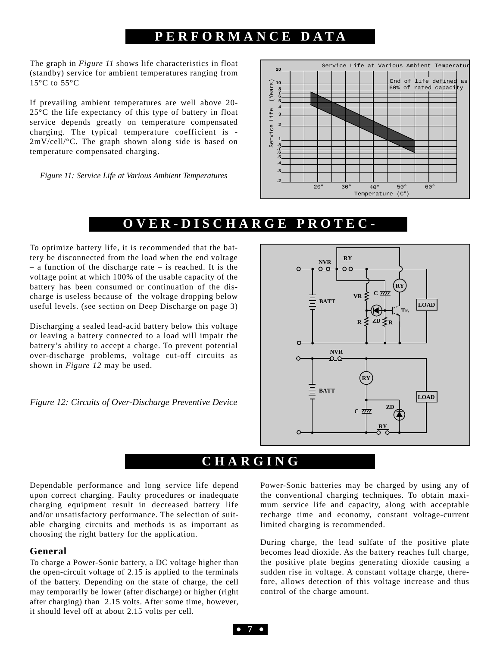# **PERFORMANCE DA T A**

The graph in *Figure 11* shows life characteristics in float (standby) service for ambient temperatures ranging from  $15^{\circ}$ C to  $55^{\circ}$ C

If prevailing ambient temperatures are well above 20- 25°C the life expectancy of this type of battery in float service depends greatly on temperature compensated charging. The typical temperature coefficient is - 2mV/cell/°C. The graph shown along side is based on temperature compensated charging.

*Figure 11: Service Life at Various Ambient Temperatures*



# **OVER-DISCHARGE PROTEC -**

To optimize battery life, it is recommended that the battery be disconnected from the load when the end voltage – a function of the discharge rate – is reached. It is the voltage point at which 100% of the usable capacity of the battery has been consumed or continuation of the discharge is useless because of the voltage dropping below useful levels. (see section on Deep Discharge on page 3)

Discharging a sealed lead-acid battery below this voltage or leaving a battery connected to a load will impair the battery's ability to accept a charge. To prevent potential over-discharge problems, voltage cut-off circuits as shown in *Figure 12* may be used.

*Figure 12: Circuits of Over-Discharge Preventive Device*  $\begin{bmatrix} \begin{array}{ccc} \end{array} & \begin{array}{ccc} \end{array} & \begin{array}{ccc} \end{array} & \begin{array}{ccc} \end{array} & \begin{array}{ccc} \end{array} & \begin{array}{ccc} \end{array} & \begin{array}{ccc} \end{array} & \begin{array}{ccc} \end{array} & \begin{array}{ccc} \end{array} & \begin{array}{ccc} \end{array} & \begin{array}{ccc} \end{array} & \begin{array}{ccc} \end{array} & \$ 



# **CHARGING**

Dependable performance and long service life depend upon correct charging. Faulty procedures or inadequate charging equipment result in decreased battery life and/or unsatisfactory performance. The selection of suitable charging circuits and methods is as important as choosing the right battery for the application.

### **General**

To charge a Power-Sonic battery, a DC voltage higher than the open-circuit voltage of 2.15 is applied to the terminals of the battery. Depending on the state of charge, the cell may temporarily be lower (after discharge) or higher (right after charging) than 2.15 volts. After some time, however, it should level off at about 2.15 volts per cell.

Power-Sonic batteries may be charged by using any of the conventional charging techniques. To obtain maximum service life and capacity, along with acceptable recharge time and economy, constant voltage-current limited charging is recommended.

During charge, the lead sulfate of the positive plate becomes lead dioxide. As the battery reaches full charge, the positive plate begins generating dioxide causing a sudden rise in voltage. A constant voltage charge, therefore, allows detection of this voltage increase and thus control of the charge amount.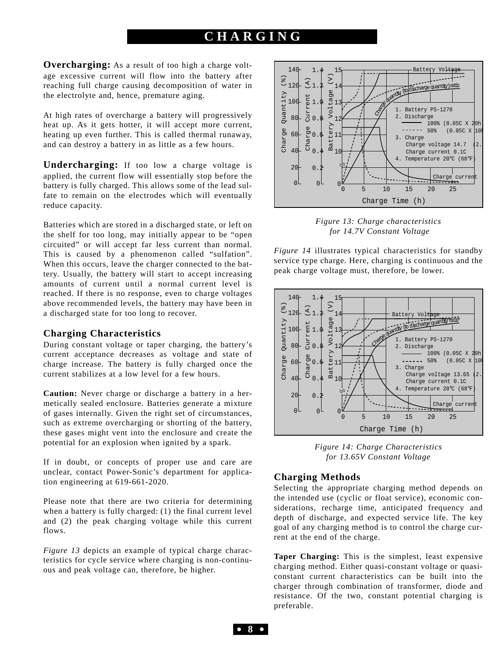**Overcharging:** As a result of too high a charge voltage excessive current will flow into the battery after reaching full charge causing decomposition of water in the electrolyte and, hence, premature aging.

At high rates of overcharge a battery will progressively heat up. As it gets hotter, it will accept more current, heating up even further. This is called thermal runaway, and can destroy a battery in as little as a few hours.

**Undercharging:** If too low a charge voltage is applied, the current flow will essentially stop before the battery is fully charged. This allows some of the lead sulfate to remain on the electrodes which will eventually reduce capacity.

Batteries which are stored in a discharged state, or left on the shelf for too long, may initially appear to be "open circuited" or will accept far less current than normal. This is caused by a phenomenon called "sulfation". When this occurs, leave the charger connected to the battery. Usually, the battery will start to accept increasing amounts of current until a normal current level is reached. If there is no response, even to charge voltages above recommended levels, the battery may have been in a discharged state for too long to recover.

### **Charging Characteristics**

During constant voltage or taper charging, the battery's current acceptance decreases as voltage and state of charge increase. The battery is fully charged once the current stabilizes at a low level for a few hours.

**Caution:** Never charge or discharge a battery in a hermetically sealed enclosure. Batteries generate a mixture of gases internally. Given the right set of circumstances, such as extreme overcharging or shorting of the battery, these gases might vent into the enclosure and create the potential for an explosion when ignited by a spark.

If in doubt, or concepts of proper use and care are unclear, contact Power-Sonic's department for application engineering at 619-661-2020.

Please note that there are two criteria for determining when a battery is fully charged: (1) the final current level and (2) the peak charging voltage while this current flows.

*Figure 13* depicts an example of typical charge characteristics for cycle service where charging is non-continuous and peak voltage can, therefore, be higher.



*Figure 13: Charge characteristics for 14.7V Constant Voltage*

*Figure 14* illustrates typical characteristics for standby service type charge. Here, charging is continuous and the peak charge voltage must, therefore, be lower.



*Figure 14: Charge Characteristics for 13.65V Constant Voltage* 

### **Charging Methods**

Selecting the appropriate charging method depends on the intended use (cyclic or float service), economic considerations, recharge time, anticipated frequency and depth of discharge, and expected service life. The key goal of any charging method is to control the charge current at the end of the charge.

**Taper Charging:** This is the simplest, least expensive charging method. Either quasi-constant voltage or quasiconstant current characteristics can be built into the charger through combination of transformer, diode and resistance. Of the two, constant potential charging is preferable.

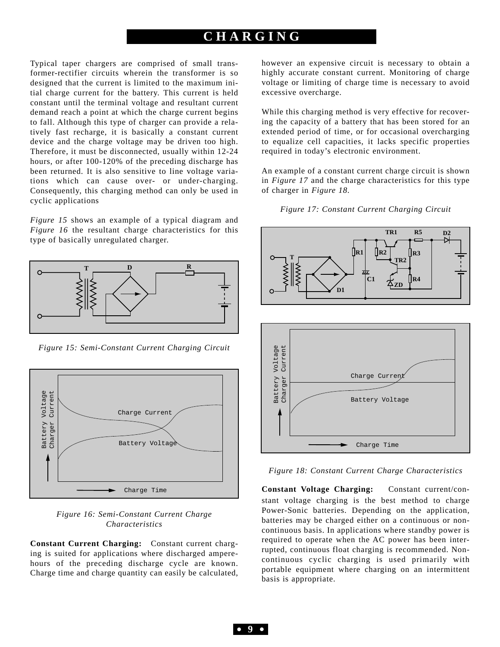Typical taper chargers are comprised of small transformer-rectifier circuits wherein the transformer is so designed that the current is limited to the maximum initial charge current for the battery. This current is held constant until the terminal voltage and resultant current demand reach a point at which the charge current begins to fall. Although this type of charger can provide a relatively fast recharge, it is basically a constant current device and the charge voltage may be driven too high. Therefore, it must be disconnected, usually within 12-24 hours, or after 100-120% of the preceding discharge has been returned. It is also sensitive to line voltage variations which can cause over- or under-charging. Consequently, this charging method can only be used in cyclic applications

*Figure 15* shows an example of a typical diagram and *Figure 16* the resultant charge characteristics for this type of basically unregulated charger.



*Figure 15: Semi-Constant Current Charging Circuit*



*Figure 16: Semi-Constant Current Charge Characteristics*

**Constant Current Charging:** Constant current charging is suited for applications where discharged amperehours of the preceding discharge cycle are known. Charge time and charge quantity can easily be calculated, however an expensive circuit is necessary to obtain a highly accurate constant current. Monitoring of charge voltage or limiting of charge time is necessary to avoid excessive overcharge.

While this charging method is very effective for recovering the capacity of a battery that has been stored for an extended period of time, or for occasional overcharging to equalize cell capacities, it lacks specific properties required in today's electronic environment.

An example of a constant current charge circuit is shown in *Figure 17* and the charge characteristics for this type of charger in *Figure 18.*





*Figure 18: Constant Current Charge Characteristics*

**Constant Voltage Charging:** Constant current/constant voltage charging is the best method to charge Power-Sonic batteries. Depending on the application, batteries may be charged either on a continuous or noncontinuous basis. In applications where standby power is required to operate when the AC power has been interrupted, continuous float charging is recommended. Noncontinuous cyclic charging is used primarily with portable equipment where charging on an intermittent basis is appropriate.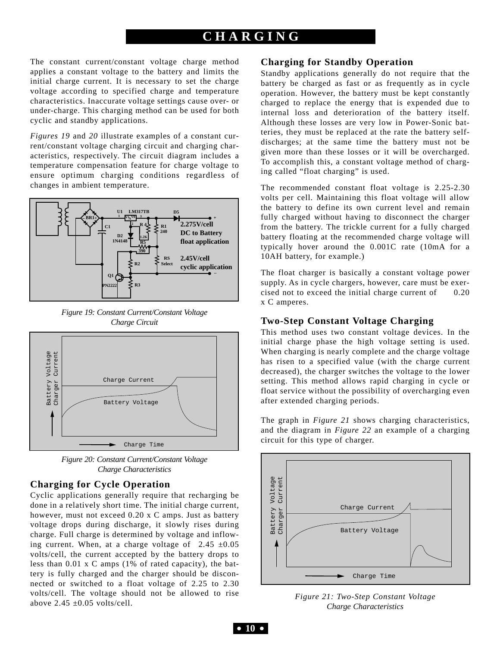The constant current/constant voltage charge method applies a constant voltage to the battery and limits the initial charge current. It is necessary to set the charge voltage according to specified charge and temperature characteristics. Inaccurate voltage settings cause over- or under-charge. This charging method can be used for both cyclic and standby applications.

*Figures 19* and *20* illustrate examples of a constant current/constant voltage charging circuit and charging characteristics, respectively. The circuit diagram includes a temperature compensation feature for charge voltage to ensure optimum charging conditions regardless of changes in ambient temperature.



*Figure 19: Constant Current/Constant Voltage Charge Circuit*



*Figure 20: Constant Current/Constant Voltage Charge Characteristics*

### **Charging for Cycle Operation**

Cyclic applications generally require that recharging be done in a relatively short time. The initial charge current, however, must not exceed 0.20 x C amps. Just as battery voltage drops during discharge, it slowly rises during charge. Full charge is determined by voltage and inflowing current. When, at a charge voltage of  $2.45 \pm 0.05$ volts/cell, the current accepted by the battery drops to less than 0.01 x C amps (1% of rated capacity), the battery is fully charged and the charger should be disconnected or switched to a float voltage of 2.25 to 2.30 volts/cell. The voltage should not be allowed to rise above  $2.45 \pm 0.05$  volts/cell.

# **Charging for Standby Operation**

Standby applications generally do not require that the battery be charged as fast or as frequently as in cycle operation. However, the battery must be kept constantly charged to replace the energy that is expended due to internal loss and deterioration of the battery itself. Although these losses are very low in Power-Sonic batteries, they must be replaced at the rate the battery selfdischarges; at the same time the battery must not be given more than these losses or it will be overcharged. To accomplish this, a constant voltage method of charging called "float charging" is used.

The recommended constant float voltage is 2.25-2.30 volts per cell. Maintaining this float voltage will allow the battery to define its own current level and remain fully charged without having to disconnect the charger from the battery. The trickle current for a fully charged battery floating at the recommended charge voltage will typically hover around the 0.001C rate (10mA for a 10AH battery, for example.)

The float charger is basically a constant voltage power supply. As in cycle chargers, however, care must be exercised not to exceed the initial charge current of 0.20 x C amperes.

### **Two-Step Constant Voltage Charging**

This method uses two constant voltage devices. In the initial charge phase the high voltage setting is used. When charging is nearly complete and the charge voltage has risen to a specified value (with the charge current decreased), the charger switches the voltage to the lower setting. This method allows rapid charging in cycle or float service without the possibility of overcharging even after extended charging periods.

The graph in *Figure 21* shows charging characteristics, and the diagram in *Figure 22* an example of a charging circuit for this type of charger.



*Figure 21: Two-Step Constant Voltage Charge Characteristics*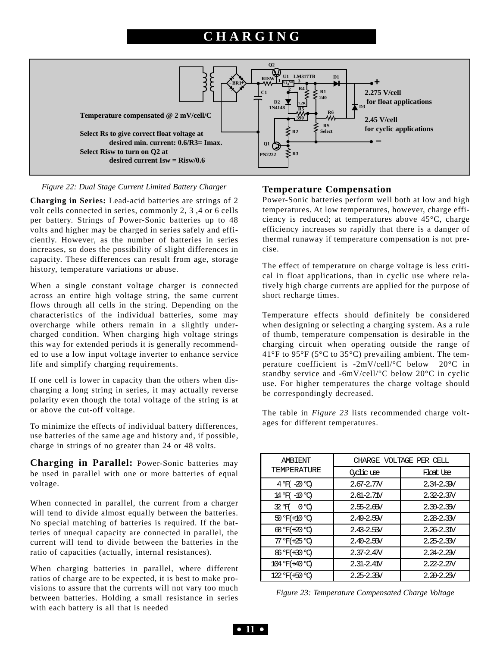

#### *Figure 22: Dual Stage Current Limited Battery Charger*

**Charging in Series:** Lead-acid batteries are strings of 2 volt cells connected in series, commonly 2, 3 ,4 or 6 cells per battery. Strings of Power-Sonic batteries up to 48 volts and higher may be charged in series safely and efficiently. However, as the number of batteries in series increases, so does the possibility of slight differences in capacity. These differences can result from age, storage history, temperature variations or abuse.

When a single constant voltage charger is connected across an entire high voltage string, the same current flows through all cells in the string. Depending on the characteristics of the individual batteries, some may overcharge while others remain in a slightly undercharged condition. When charging high voltage strings this way for extended periods it is generally recommended to use a low input voltage inverter to enhance service life and simplify charging requirements.

If one cell is lower in capacity than the others when discharging a long string in series, it may actually reverse polarity even though the total voltage of the string is at or above the cut-off voltage.

To minimize the effects of individual battery differences, use batteries of the same age and history and, if possible, charge in strings of no greater than 24 or 48 volts.

**Charging in Parallel:** Power-Sonic batteries may be used in parallel with one or more batteries of equal voltage.

When connected in parallel, the current from a charger will tend to divide almost equally between the batteries. No special matching of batteries is required. If the batteries of unequal capacity are connected in parallel, the current will tend to divide between the batteries in the ratio of capacities (actually, internal resistances).

When charging batteries in parallel, where different ratios of charge are to be expected, it is best to make provisions to assure that the currents will not vary too much between batteries. Holding a small resistance in series with each battery is all that is needed

#### **Temperature Compensation**

Power-Sonic batteries perform well both at low and high temperatures. At low temperatures, however, charge efficiency is reduced; at temperatures above 45°C, charge efficiency increases so rapidly that there is a danger of thermal runaway if temperature compensation is not precise.

The effect of temperature on charge voltage is less critical in float applications, than in cyclic use where relatively high charge currents are applied for the purpose of short recharge times.

Temperature effects should definitely be considered when designing or selecting a charging system. As a rule of thumb, temperature compensation is desirable in the charging circuit when operating outside the range of 41°F to 95°F (5°C to 35°C) prevailing ambient. The temperature coefficient is -2mV/cell/°C below 20°C in standby service and -6mV/cell/°C below 20°C in cyclic use. For higher temperatures the charge voltage should be correspondingly decreased.

The table in *Figure 23* lists recommended charge voltages for different temperatures.

| AMBIENT             | CHARGE VOLTAGE PER CELL |                |  |  |  |  |
|---------------------|-------------------------|----------------|--|--|--|--|
| TEMPERATURE         | Cyclic use              | Float Use      |  |  |  |  |
| $4$ H $-20$ M       | $2.67 - 2.7N$           | $2.34 - 2.39$  |  |  |  |  |
| 14 FY -10 °C        | $2.61 - 2.71V$          | $2.32 - 2.37$  |  |  |  |  |
| 32 H<br>$0^{\circ}$ | $2.55 - 2.65V$          | $2.30 - 2.35V$ |  |  |  |  |
| 50 F(+10 °C)        | $2.49 - 2.59$           | $2.28 - 2.33V$ |  |  |  |  |
| 68 F(+20 °C)        | $2.43 - 2.53$           | $2.26 - 2.31V$ |  |  |  |  |
| 77 F (+25 °C)       | $2.40 - 2.50V$          | $2.25 - 2.30$  |  |  |  |  |
| 86 F(+30 °C)        | $2.37 - 2.47V$          | $2.24 - 2.29$  |  |  |  |  |
| 104 F (+40 °C)      | $2.31 - 2.41V$          | $2.22 - 2.27$  |  |  |  |  |
| 122 F (+50 °C)      | $2.25 - 2.35V$          | $2.20 - 2.25V$ |  |  |  |  |

*Figure 23: Temperature Compensated Charge Voltage*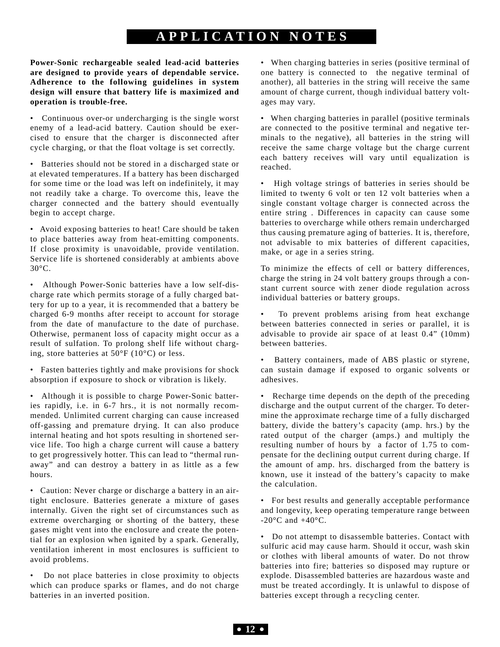# **APPLICA TION NOTES**

**Power-Sonic rechargeable sealed lead-acid batteries are designed to provide years of dependable service. Adherence to the following guidelines in system design will ensure that battery life is maximized and operation is trouble-free.** 

• Continuous over-or undercharging is the single worst enemy of a lead-acid battery. Caution should be exercised to ensure that the charger is disconnected after cycle charging, or that the float voltage is set correctly.

• Batteries should not be stored in a discharged state or at elevated temperatures. If a battery has been discharged for some time or the load was left on indefinitely, it may not readily take a charge. To overcome this, leave the charger connected and the battery should eventually begin to accept charge.

• Avoid exposing batteries to heat! Care should be taken to place batteries away from heat-emitting components. If close proximity is unavoidable, provide ventilation. Service life is shortened considerably at ambients above 30°C.

• Although Power-Sonic batteries have a low self-discharge rate which permits storage of a fully charged battery for up to a year, it is recommended that a battery be charged 6-9 months after receipt to account for storage from the date of manufacture to the date of purchase. Otherwise, permanent loss of capacity might occur as a result of sulfation. To prolong shelf life without charging, store batteries at 50°F (10°C) or less.

• Fasten batteries tightly and make provisions for shock absorption if exposure to shock or vibration is likely.

• Although it is possible to charge Power-Sonic batteries rapidly, i.e. in 6-7 hrs., it is not normally recommended. Unlimited current charging can cause increased off-gassing and premature drying. It can also produce internal heating and hot spots resulting in shortened service life. Too high a charge current will cause a battery to get progressively hotter. This can lead to "thermal runaway" and can destroy a battery in as little as a few hours.

• Caution: Never charge or discharge a battery in an airtight enclosure. Batteries generate a mixture of gases internally. Given the right set of circumstances such as extreme overcharging or shorting of the battery, these gases might vent into the enclosure and create the potential for an explosion when ignited by a spark. Generally, ventilation inherent in most enclosures is sufficient to avoid problems.

• Do not place batteries in close proximity to objects which can produce sparks or flames, and do not charge batteries in an inverted position.

• When charging batteries in series (positive terminal of one battery is connected to the negative terminal of another), all batteries in the string will receive the same amount of charge current, though individual battery voltages may vary.

• When charging batteries in parallel (positive terminals are connected to the positive terminal and negative terminals to the negative), all batteries in the string will receive the same charge voltage but the charge current each battery receives will vary until equalization is reached.

• High voltage strings of batteries in series should be limited to twenty 6 volt or ten 12 volt batteries when a single constant voltage charger is connected across the entire string . Differences in capacity can cause some batteries to overcharge while others remain undercharged thus causing premature aging of batteries. It is, therefore, not advisable to mix batteries of different capacities, make, or age in a series string.

To minimize the effects of cell or battery differences, charge the string in 24 volt battery groups through a constant current source with zener diode regulation across individual batteries or battery groups.

To prevent problems arising from heat exchange between batteries connected in series or parallel, it is advisable to provide air space of at least 0.4" (10mm) between batteries.

Battery containers, made of ABS plastic or styrene, can sustain damage if exposed to organic solvents or adhesives.

• Recharge time depends on the depth of the preceding discharge and the output current of the charger. To determine the approximate recharge time of a fully discharged battery, divide the battery's capacity (amp. hrs.) by the rated output of the charger (amps.) and multiply the resulting number of hours by a factor of 1.75 to compensate for the declining output current during charge. If the amount of amp. hrs. discharged from the battery is known, use it instead of the battery's capacity to make the calculation.

• For best results and generally acceptable performance and longevity, keep operating temperature range between  $-20\degree$ C and  $+40\degree$ C.

• Do not attempt to disassemble batteries. Contact with sulfuric acid may cause harm. Should it occur, wash skin or clothes with liberal amounts of water. Do not throw batteries into fire; batteries so disposed may rupture or explode. Disassembled batteries are hazardous waste and must be treated accordingly. It is unlawful to dispose of batteries except through a recycling center.

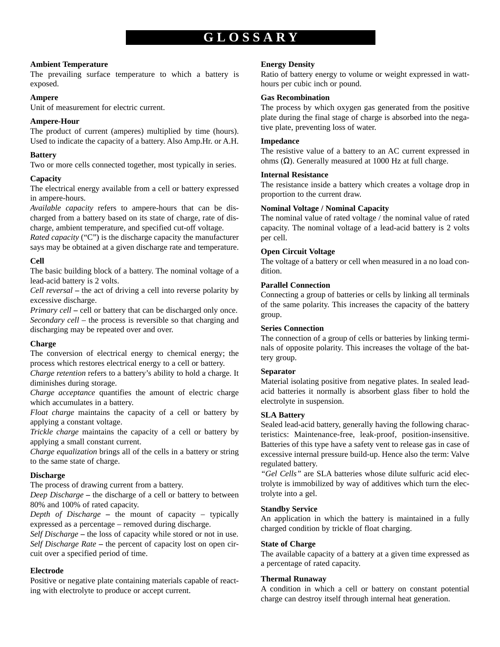# **GLOSSAR Y**

#### **Ambient Temperature**

The prevailing surface temperature to which a battery is exposed.

#### **Ampere**

Unit of measurement for electric current.

### **Ampere-Hour**

The product of current (amperes) multiplied by time (hours). Used to indicate the capacity of a battery. Also Amp.Hr. or A.H.

### **Battery**

Two or more cells connected together, most typically in series.

### **Capacity**

The electrical energy available from a cell or battery expressed in ampere-hours.

*Available capacity* refers to ampere-hours that can be discharged from a battery based on its state of charge, rate of discharge, ambient temperature, and specified cut-off voltage.

*Rated capacity* ("C") is the discharge capacity the manufacturer says may be obtained at a given discharge rate and temperature.

### **Cell**

The basic building block of a battery. The nominal voltage of a lead-acid battery is 2 volts.

*Cell reversal* **–** the act of driving a cell into reverse polarity by excessive discharge.

*Primary cell* **–** cell or battery that can be discharged only once. *Secondary cell* – the process is reversible so that charging and discharging may be repeated over and over.

### **Charge**

The conversion of electrical energy to chemical energy; the process which restores electrical energy to a cell or battery.

*Charge retention* refers to a battery's ability to hold a charge. It diminishes during storage.

*Charge acceptance* quantifies the amount of electric charge which accumulates in a battery.

*Float charge* maintains the capacity of a cell or battery by applying a constant voltage.

*Trickle charge* maintains the capacity of a cell or battery by applying a small constant current.

*Charge equalization* brings all of the cells in a battery or string to the same state of charge.

### **Discharge**

The process of drawing current from a battery.

*Deep Discharge* **–** the discharge of a cell or battery to between 80% and 100% of rated capacity.

*Depth of Discharge* **–** the mount of capacity – typically expressed as a percentage – removed during discharge.

*Self Discharge* **–** the loss of capacity while stored or not in use. *Self Discharge Rate* **–** the percent of capacity lost on open circuit over a specified period of time.

### **Electrode**

Positive or negative plate containing materials capable of reacting with electrolyte to produce or accept current.

### **Energy Density**

Ratio of battery energy to volume or weight expressed in watthours per cubic inch or pound.

#### **Gas Recombination**

The process by which oxygen gas generated from the positive plate during the final stage of charge is absorbed into the negative plate, preventing loss of water.

### **Impedance**

The resistive value of a battery to an AC current expressed in ohms ( $Ω$ ). Generally measured at 1000 Hz at full charge.

### **Internal Resistance**

The resistance inside a battery which creates a voltage drop in proportion to the current draw.

### **Nominal Voltage / Nominal Capacity**

The nominal value of rated voltage / the nominal value of rated capacity. The nominal voltage of a lead-acid battery is 2 volts per cell.

### **Open Circuit Voltage**

The voltage of a battery or cell when measured in a no load condition.

### **Parallel Connection**

Connecting a group of batteries or cells by linking all terminals of the same polarity. This increases the capacity of the battery group.

### **Series Connection**

The connection of a group of cells or batteries by linking terminals of opposite polarity. This increases the voltage of the battery group.

### **Separator**

Material isolating positive from negative plates. In sealed leadacid batteries it normally is absorbent glass fiber to hold the electrolyte in suspension.

### **SLA Battery**

Sealed lead-acid battery, generally having the following characteristics: Maintenance-free, leak-proof, position-insensitive. Batteries of this type have a safety vent to release gas in case of excessive internal pressure build-up. Hence also the term: Valve regulated battery.

*"Gel Cells"* are SLA batteries whose dilute sulfuric acid electrolyte is immobilized by way of additives which turn the electrolyte into a gel.

### **Standby Service**

An application in which the battery is maintained in a fully charged condition by trickle of float charging.

### **State of Charge**

The available capacity of a battery at a given time expressed as a percentage of rated capacity.

### **Thermal Runaway**

A condition in which a cell or battery on constant potential charge can destroy itself through internal heat generation.